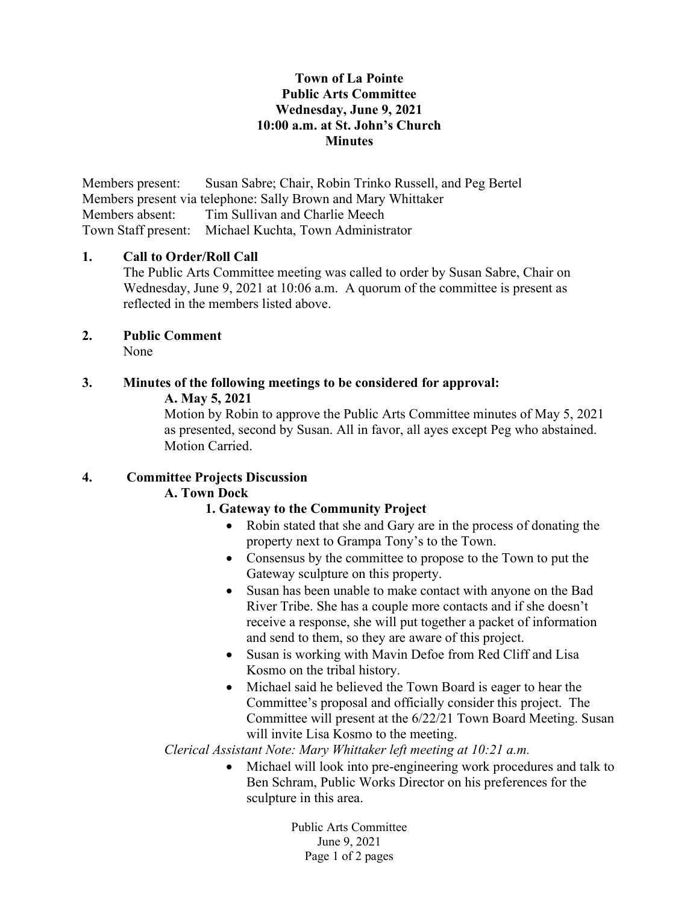#### Town of La Pointe Public Arts Committee Wednesday, June 9, 2021 10:00 a.m. at St. John's Church **Minutes**

Members present: Susan Sabre; Chair, Robin Trinko Russell, and Peg Bertel Members present via telephone: Sally Brown and Mary Whittaker Members absent: Tim Sullivan and Charlie Meech Town Staff present: Michael Kuchta, Town Administrator

#### 1. Call to Order/Roll Call

The Public Arts Committee meeting was called to order by Susan Sabre, Chair on Wednesday, June 9, 2021 at 10:06 a.m. A quorum of the committee is present as reflected in the members listed above.

#### 2. Public Comment None

# 3. Minutes of the following meetings to be considered for approval: A. May 5, 2021

Motion by Robin to approve the Public Arts Committee minutes of May 5, 2021 as presented, second by Susan. All in favor, all ayes except Peg who abstained. Motion Carried.

### 4. Committee Projects Discussion

### A. Town Dock

### 1. Gateway to the Community Project

- Robin stated that she and Gary are in the process of donating the property next to Grampa Tony's to the Town.
- Consensus by the committee to propose to the Town to put the Gateway sculpture on this property.
- Susan has been unable to make contact with anyone on the Bad River Tribe. She has a couple more contacts and if she doesn't receive a response, she will put together a packet of information and send to them, so they are aware of this project.
- Susan is working with Mavin Defoe from Red Cliff and Lisa Kosmo on the tribal history.
- Michael said he believed the Town Board is eager to hear the Committee's proposal and officially consider this project. The Committee will present at the 6/22/21 Town Board Meeting. Susan will invite Lisa Kosmo to the meeting.

Clerical Assistant Note: Mary Whittaker left meeting at 10:21 a.m.

 Michael will look into pre-engineering work procedures and talk to Ben Schram, Public Works Director on his preferences for the sculpture in this area.

> Public Arts Committee June 9, 2021 Page 1 of 2 pages